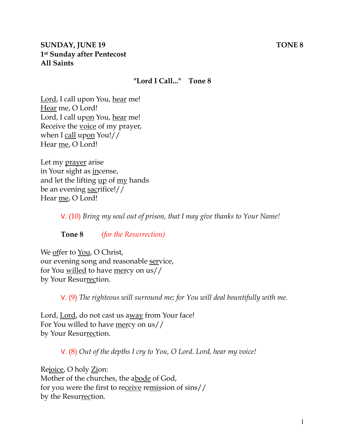#### **"Lord I Call..." Tone 8**

Lord, I call upon You, hear me! Hear me, O Lord! Lord, I call upon You, hear me! Receive the voice of my prayer, when I call upon You!// Hear me, O Lord!

Let my prayer arise in Your sight as incense, and let the lifting up of my hands be an evening sacrifice!// Hear me, O Lord!

V. (10) *Bring my soul out of prison, that I may give thanks to Your Name!* 

**Tone 8** *(for the Resurrection)* 

We offer to You, O Christ, our evening song and reasonable service, for You willed to have mercy on us// by Your Resurrection.

V. (9) *The righteous will surround me; for You will deal bountifully with me.* 

Lord, Lord, do not cast us away from Your face! For You willed to have mercy on us// by Your Resurrection.

V. (8) *Out of the depths I cry to You, O Lord. Lord, hear my voice!* 

Rejoice, O holy Zion: Mother of the churches, the abode of God, for you were the first to receive remission of sins// by the Resurrection.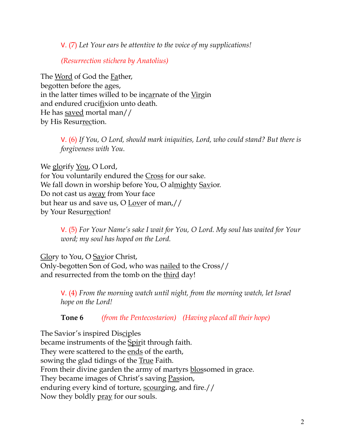V. (7) *Let Your ears be attentive to the voice of my supplications!*

*(Resurrection stichera by Anatolius)*

The Word of God the Father, begotten before the ages, in the latter times willed to be incarnate of the Virgin and endured crucifixion unto death. He has saved mortal man// by His Resurrection.

> V. (6) *If You, O Lord, should mark iniquities, Lord, who could stand? But there is forgiveness with You.*

We glorify <u>You</u>, O Lord, for You voluntarily endured the Cross for our sake. We fall down in worship before You, O almighty Savior. Do not cast us away from Your face but hear us and save us, O Lover of man,// by Your Resurrection!

> V. (5) *For Your Name's sake I wait for You, O Lord. My soul has waited for Your word; my soul has hoped on the Lord.*

Glory to You, O Savior Christ, Only-begotten Son of God, who was nailed to the Cross// and resurrected from the tomb on the third day!

> V. (4) *From the morning watch until night, from the morning watch, let Israel hope on the Lord!*

**Tone 6** *(from the Pentecostarion) (Having placed all their hope)*

The Savior's inspired Disciples became instruments of the **Spirit** through faith. They were scattered to the <u>ends</u> of the earth, sowing the glad tidings of the True Faith. From their divine garden the army of martyrs blossomed in grace. They became images of Christ's saving Passion, enduring every kind of torture, scourging, and fire.// Now they boldly pray for our souls.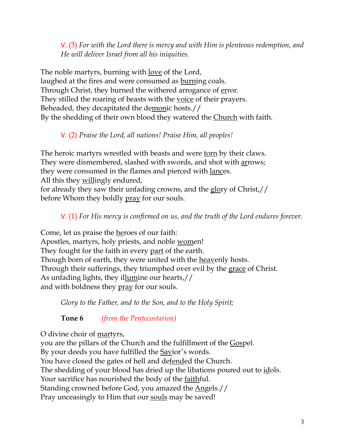V. (3) *For with the Lord there is mercy and with Him is plenteous redemption, and He will deliver Israel from all his iniquities.*

The noble martyrs, burning with love of the Lord, laughed at the fires and were consumed as burning coals. Through Christ, they burned the withered arrogance of error. They stilled the roaring of beasts with the <u>voice</u> of their prayers. Beheaded, they decapitated the demonic hosts.// By the shedding of their own blood they watered the Church with faith.

# V. (2) *Praise the Lord, all nations! Praise Him, all peoples!*

The heroic martyrs wrestled with beasts and were torn by their claws. They were dismembered, slashed with swords, and shot with arrows; they were consumed in the flames and pierced with lances. All this they willingly endured, for already they saw their unfading crowns, and the glory of Christ,//

before Whom they boldly pray for our souls.

V. (1) *For His mercy is confirmed on us, and the truth of the Lord endures forever.* 

Come, let us praise the heroes of our faith: Apostles, martyrs, holy priests, and noble women! They fought for the faith in every part of the earth. Though born of earth, they were united with the heavenly hosts. Through their sufferings, they triumphed over evil by the grace of Christ. As unfading lights, they illumine our hearts,// and with boldness they pray for our souls.

*Glory to the Father, and to the Son, and to the Holy Spirit;*

**Tone 6** *(from the Pentecostarion)*

O divine choir of martyrs,

you are the pillars of the Church and the fulfillment of the Gospel. By your deeds you have fulfilled the **Savior's words**. You have closed the gates of hell and de<u>fend</u>ed the Church. The shedding of your blood has dried up the libations poured out to <u>id</u>ols. Your sacrifice has nourished the body of the faithful. Standing crowned before God, you amazed the Angels.// Pray unceasingly to Him that our souls may be saved!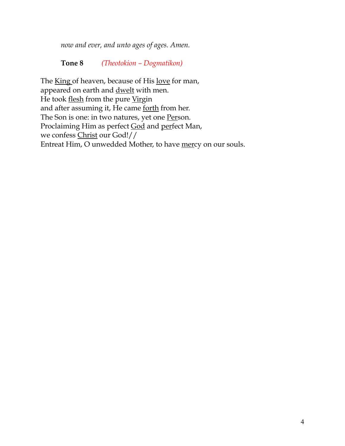*now and ever, and unto ages of ages. Amen.* 

**Tone 8** *(Theotokion – Dogmatikon)*

The King of heaven, because of His love for man, appeared on earth and **dwelt** with men. He took flesh from the pure Virgin and after assuming it, He came forth from her. The Son is one: in two natures, yet one Person. Proclaiming Him as perfect God and perfect Man, we confess Christ our God!// Entreat Him, O unwedded Mother, to have mercy on our souls.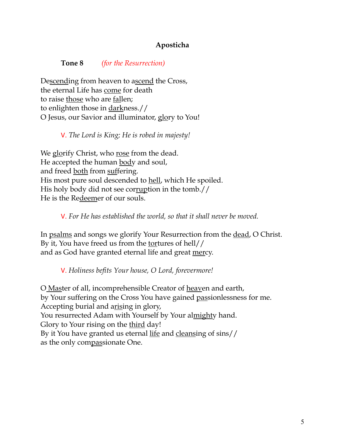## **Aposticha**

#### **Tone 8** *(for the Resurrection)*

Descending from heaven to ascend the Cross, the eternal Life has come for death to raise those who are fallen; to enlighten those in darkness.// O Jesus, our Savior and illuminator, glory to You!

### V. *The Lord is King; He is robed in majesty!*

We glorify Christ, who rose from the dead. He accepted the human body and soul, and freed both from suffering. His most pure soul descended to hell, which He spoiled. His holy body did not see corruption in the tomb.// He is the Redeemer of our souls.

### V. *For He has established the world, so that it shall never be moved.*

In psalms and songs we glorify Your Resurrection from the dead, O Christ. By it, You have freed us from the tortures of hell// and as God have granted eternal life and great mercy.

### V. *Holiness befits Your house, O Lord, forevermore!*

O Master of all, incomprehensible Creator of heaven and earth, by Your suffering on the Cross You have gained passionlessness for me. Accepting burial and arising in glory, You resurrected Adam with Yourself by Your almighty hand. Glory to Your rising on the <u>third</u> day! By it You have granted us eternal <u>life</u> and cleansing of sins// as the only compassionate One.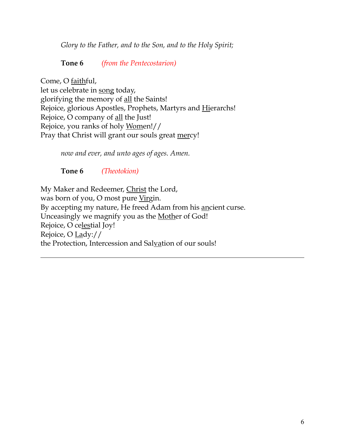*Glory to the Father, and to the Son, and to the Holy Spirit;*

**Tone 6** *(from the Pentecostarion)*

Come, O faithful, let us celebrate in song today, glorifying the memory of all the Saints! Rejoice, glorious Apostles, Prophets, Martyrs and Hierarchs! Rejoice, O company of all the Just! Rejoice, you ranks of holy Women!// Pray that Christ will grant our souls great mercy!

*now and ever, and unto ages of ages. Amen.*

**Tone 6** *(Theotokion)*

My Maker and Redeemer, Christ the Lord, was born of you, O most pure Virgin. By accepting my nature, He freed Adam from his ancient curse. Unceasingly we magnify you as the Mother of God! Rejoice, O celestial Joy! Rejoice, O Lady:// the Protection, Intercession and Salvation of our souls!